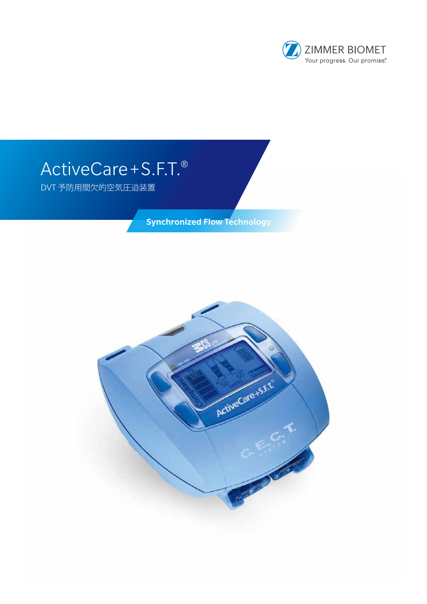

# ActiveCare + S.F.T.<sup>®</sup>

DVT 予防用間欠的空気圧迫装置

Synchronized Flow Technology

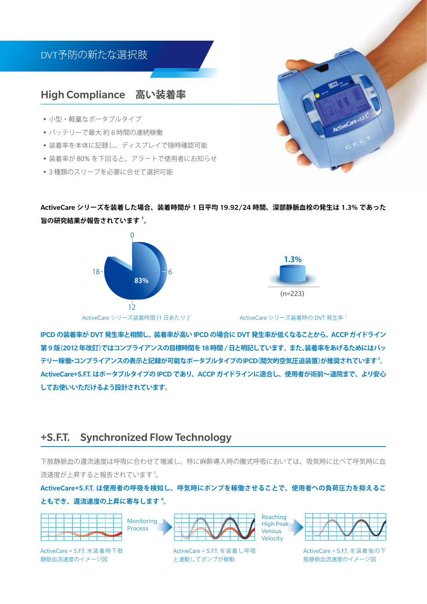

ActiveCare **シリーズを装着した場合、装着時間が** 1 **日平均** 19.92/24 **時間、深部静脈血栓の発生は** 1.3% **であった 旨の研究結果が報告されています** <sup>1</sup> **。**





ActiveCare シリーズ装着時の DVT 発生率 <sup>1</sup>

• Treatment of venous stasis

IPCD **の装着率が** DVT **発生率と相関し、装着率が高い** IPCD **の場合に** DVT **発生率が低くなることから、**ACCP **ガイドライン** r <del>CD の製着平か DVT 完工平CRIAIC、製着平が高い iFCD の場</del>占に DVT 完工平が広くなることがら、ACCF ガイドライブ<br>第 9 版(2012 年改訂)ではコンプライアンスの目標時間を 18 時間 / <mark>日と明記しています。 また、装着率をあげるためにはバ</mark>ッ **テリー稼働・コンプライアンスの表示と記録が可能なポータブルタイプの**IPCD**(間欠的空気圧迫装置)が推奨されています**<sup>2</sup> **。** ActiveCare+S.F.T. **はポータブルタイプの** IPCD **であり、**ACCP **ガイドラインに適合し、使用者が術前~退院まで、より安心** してお使いいただけるよう設計されています。<br>-<br>-

#### +S.F.T. Synchronized Flow Technology to.f.l. Synchronized flow lech!

The system includes a rechargeable battery allowing

下肢静脈血の還流速度は呼吸に合わせて増減し、特に麻酔導入時の腹式呼吸においては、吸気時に比べて呼気時に血 流速度が上昇すると報告されています $^3_\mathrm{o}$  $w$ ken $\alpha$  in  $\alpha$  from  $\alpha$  each patient and synchronizes  $\alpha$  $\frac{1}{2}$ 

ともでき、還流速度の上昇に寄与します <sup>4</sup>。<br> ActiveCare+S.F<mark>.T. は使用者の呼吸を検知し、呼気時にポンプを稼働させることで、使用者への負荷圧力を抑えるこ</mark>



ActiveCare + S.F.T. 未装着時下肢 静脈血流速度のイメージ図  $\sim$ 



ActiveCare + S.F.T. を装着し呼吸 と連動してポンプが稼動  $s$ periodyn $\sigma$  patient physical physical physical physical physical physical physical physical physical physical physical physical physical physical physical physical physical physical physical physical physical physical



ActiveCare + S.F.T. を装着後の下 肢静脈血流速度のイメージ図 x philint natural ventous phases phases with the set of the set of the set of the set of the set of the set of the set of the set of the set of the set of the set of the set of the set of the set of the set of the set of t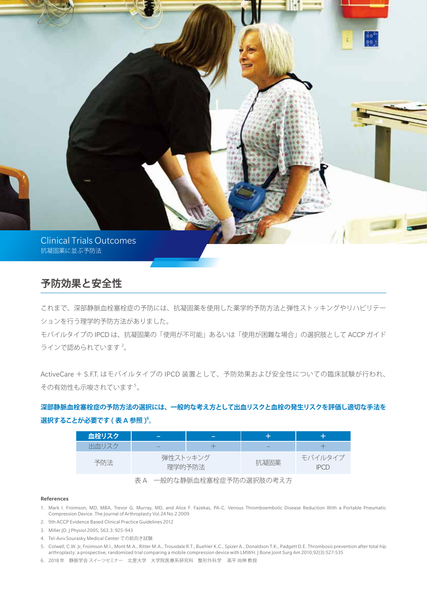

## **予防効果と安全性**

これまで、深部静脈血栓塞栓症の予防には、抗凝固薬を使用した薬学的予防方法と弾性ストッキングやリハビリテー ションを行う理学的予防方法がありました。

モバイルタイプの IPCD は、抗凝固薬の「使用が不可能」あるいは「使用が困難な場合」の選択肢として ACCP ガイド ラインで認められています<sup>2</sup>。

ActiveCare + S.F.T. はモバイルタイプの IPCD 装置として、予防効果および安全性についての臨床試験が行われ、 その有効性も示唆されています5。

### **深部静脈血栓塞栓症の予防方法の選択には、一般的な考え方として出血リスクと血栓の発生リスクを評価し適切な手法を 選択することが必要です** ( **表** A **参照** ) 6 **。**

| 血栓リスク | –                            |  |                          |                        |
|-------|------------------------------|--|--------------------------|------------------------|
| 出血リスク | _                            |  | $\overline{\phantom{a}}$ |                        |
| 予防法   | 弾性ストッキング<br>理学的予防法           |  | 抗凝固薬                     | モバイルタイプ<br><b>IPCD</b> |
|       | 一般的な静脈血栓塞栓症予防の選択肢の考え方<br>表 A |  |                          |                        |

References

- 1. Mark I. Froimson, MD, MBA, Trevor G. Murray, MD, and Alice F. Fazekas, PA-C. Venous Thromboembolic Disease Reduction With a Portable Pneumatic Compression Device. The Journal of Arthroplasty Vol.24 No.2 2009
- 2. 9th ACCP Evidence Based Clinical Practice Guidelines 2012
- 3. Miller JD. J Physiol 2005; 563.3: 925-943
- 4. Tel-Aviv Sourasky Medical Center での前向き試験
- 5. Colwell, C.W. Jr, Froimson M.I., Mont M.A., Ritter M.A., Trousdale R.T., Buehler K.C., Spizer A., Donaldson T.K., Padgett D.E. Thrombosis prevention after total hip arthroplasty: a prospective, randomized trial comparing a mobile compression device with LMWH. J Bone Joint Surg Am 2010;92(3):527-535

6. 2018 年 静脈学会 スイーツセミナー 北里大学 大学院医療系研究科 整形外科学 高平 尚伸 教授